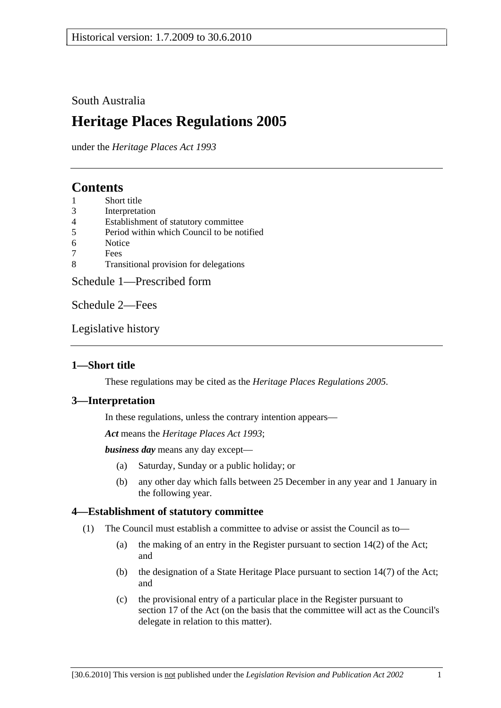## South Australia

# **Heritage Places Regulations 2005**

under the *Heritage Places Act 1993*

# **Contents**

- 1 Short title
- 3 Interpretation
- 4 Establishment of statutory committee
- 5 Period within which Council to be notified
- 6 Notice
- 7 Fees
- 8 Transitional provision for delegations

Schedule 1—Prescribed form

Schedule 2—Fees

Legislative history

## **1—Short title**

These regulations may be cited as the *Heritage Places Regulations 2005*.

## **3—Interpretation**

In these regulations, unless the contrary intention appears—

*Act* means the *Heritage Places Act 1993*;

*business day* means any day except—

- (a) Saturday, Sunday or a public holiday; or
- (b) any other day which falls between 25 December in any year and 1 January in the following year.

## **4—Establishment of statutory committee**

- (1) The Council must establish a committee to advise or assist the Council as to—
	- (a) the making of an entry in the Register pursuant to section 14(2) of the Act; and
	- (b) the designation of a State Heritage Place pursuant to section 14(7) of the Act; and
	- (c) the provisional entry of a particular place in the Register pursuant to section 17 of the Act (on the basis that the committee will act as the Council's delegate in relation to this matter).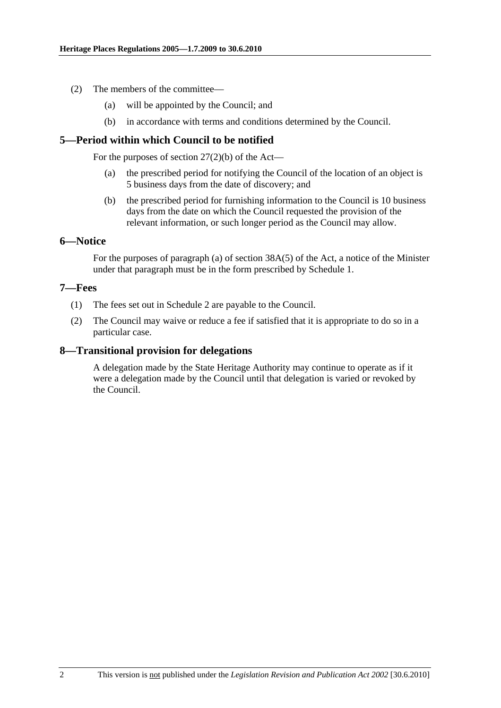- (2) The members of the committee—
	- (a) will be appointed by the Council; and
	- (b) in accordance with terms and conditions determined by the Council.

## **5—Period within which Council to be notified**

For the purposes of section  $27(2)(b)$  of the Act—

- (a) the prescribed period for notifying the Council of the location of an object is 5 business days from the date of discovery; and
- (b) the prescribed period for furnishing information to the Council is 10 business days from the date on which the Council requested the provision of the relevant information, or such longer period as the Council may allow.

## **6—Notice**

For the purposes of paragraph (a) of section 38A(5) of the Act, a notice of the Minister under that paragraph must be in the form prescribed by Schedule 1.

## **7—Fees**

- (1) The fees set out in Schedule 2 are payable to the Council.
- (2) The Council may waive or reduce a fee if satisfied that it is appropriate to do so in a particular case.

## **8—Transitional provision for delegations**

A delegation made by the State Heritage Authority may continue to operate as if it were a delegation made by the Council until that delegation is varied or revoked by the Council.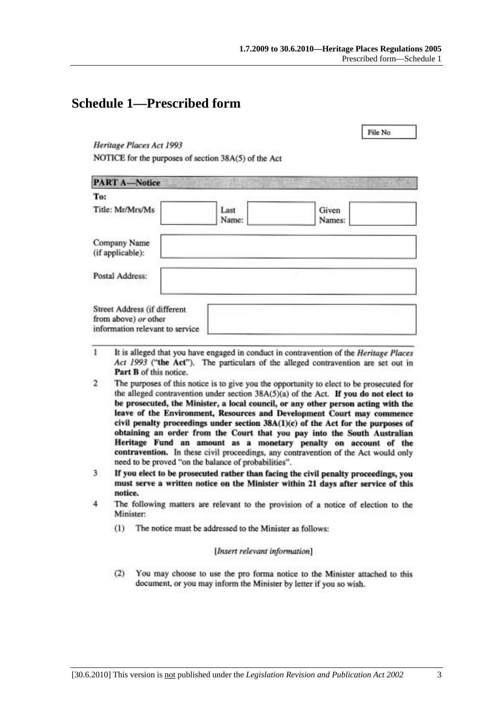File No.

# **Schedule 1—Prescribed form**

Heritage Places Act 1993

NOTICE for the purposes of section 38A(5) of the Act

| <b>PART A-Notice</b>                                                                    |               |                 |
|-----------------------------------------------------------------------------------------|---------------|-----------------|
| To:                                                                                     |               |                 |
| Title: Mr/Mrs/Ms                                                                        | Last<br>Name: | Given<br>Names: |
| Company Name<br>(if applicable):                                                        |               |                 |
| Postal Address:                                                                         |               |                 |
| Street Address (if different<br>from above) or other<br>information relevant to service |               |                 |

- 1 It is alleged that you have engaged in conduct in contravention of the Heritage Places Act 1993 ("the Act"). The particulars of the alleged contravention are set out in Part B of this notice.
- $\overline{2}$ The purposes of this notice is to give you the opportunity to elect to be prosecuted for the alleged contravention under section  $38A(5)(a)$  of the Act. If you do not elect to be prosecuted, the Minister, a local council, or any other person acting with the leave of the Environment, Resources and Development Court may commence civil penalty proceedings under section 38A(1)(c) of the Act for the purposes of obtaining an order from the Court that you pay into the South Australian Heritage Fund an amount as a monetary penalty on account of the contravention. In these civil proceedings, any contravention of the Act would only need to be proved "on the balance of probabilities".
- 3 If you elect to be prosecuted rather than facing the civil penalty proceedings, you must serve a written notice on the Minister within 21 days after service of this notice.
- $\overline{4}$ The following matters are relevant to the provision of a notice of election to the Minister:
	- The notice must be addressed to the Minister as follows:  $(1)$

### [Insert relevant information]

 $(2)$ You may choose to use the pro forma notice to the Minister attached to this document, or you may inform the Minister by letter if you so wish.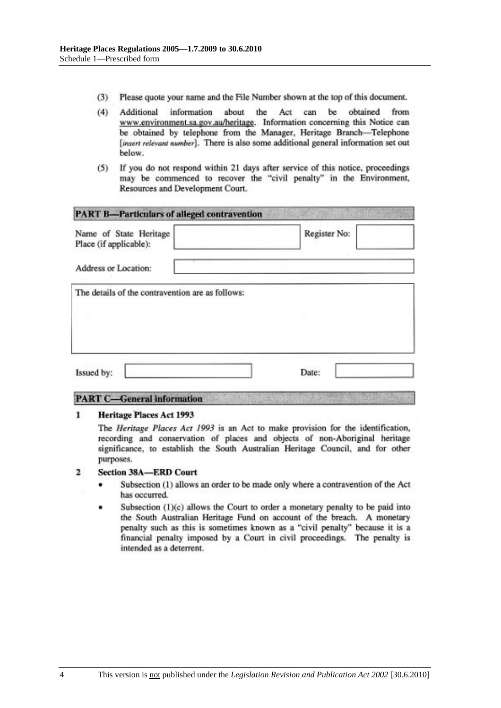- $(3)$ Please quote your name and the File Number shown at the top of this document.
- $(4)$ information about the Act can be obtained from Additional www.environment.sa.gov.au/heritage. Information concerning this Notice can be obtained by telephone from the Manager, Heritage Branch-Telephone [insert relevant number]. There is also some additional general information set out below.
- If you do not respond within 21 days after service of this notice, proceedings  $(5)$ may be commenced to recover the "civil penalty" in the Environment, Resources and Development Court.

| Name of State Heritage<br>Place (if applicable): | Register No: |
|--------------------------------------------------|--------------|
| Address or Location:                             |              |
| The details of the contravention are as follows: |              |
|                                                  |              |
|                                                  |              |
|                                                  |              |

# **PART C-General information**

#### **Heritage Places Act 1993** 1

The Heritage Places Act 1993 is an Act to make provision for the identification, recording and conservation of places and objects of non-Aboriginal heritage significance, to establish the South Australian Heritage Council, and for other purposes.

#### $\overline{2}$ **Section 38A-ERD Court**

- Subsection (1) allows an order to be made only where a contravention of the Act has occurred.
- Subsection (1)(c) allows the Court to order a monetary penalty to be paid into the South Australian Heritage Fund on account of the breach. A monetary penalty such as this is sometimes known as a "civil penalty" because it is a financial penalty imposed by a Court in civil proceedings. The penalty is intended as a deterrent.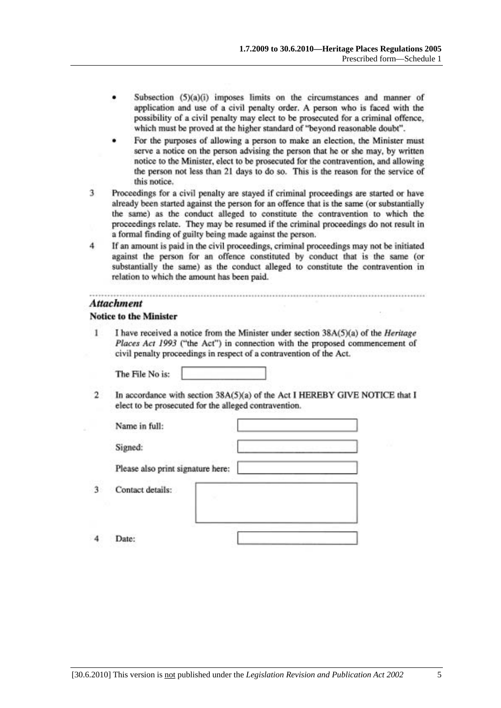- Subsection (5)(a)(i) imposes limits on the circumstances and manner of application and use of a civil penalty order. A person who is faced with the possibility of a civil penalty may elect to be prosecuted for a criminal offence, which must be proved at the higher standard of "beyond reasonable doubt".
- For the purposes of allowing a person to make an election, the Minister must serve a notice on the person advising the person that he or she may, by written notice to the Minister, elect to be prosecuted for the contravention, and allowing the person not less than 21 days to do so. This is the reason for the service of this notice.
- Proceedings for a civil penalty are stayed if criminal proceedings are started or have 3 already been started against the person for an offence that is the same (or substantially the same) as the conduct alleged to constitute the contravention to which the proceedings relate. They may be resumed if the criminal proceedings do not result in a formal finding of guilty being made against the person.
- $\overline{4}$ If an amount is paid in the civil proceedings, criminal proceedings may not be initiated against the person for an offence constituted by conduct that is the same (or substantially the same) as the conduct alleged to constitute the contravention in relation to which the amount has been paid.

### **Attachment**

### **Notice to the Minister**

1 I have received a notice from the Minister under section 38A(5)(a) of the *Heritage* Places Act 1993 ("the Act") in connection with the proposed commencement of civil penalty proceedings in respect of a contravention of the Act.

The File No is:

 $\overline{2}$ In accordance with section 38A(5)(a) of the Act I HEREBY GIVE NOTICE that I elect to be prosecuted for the alleged contravention.

| Name in full:                     |   |
|-----------------------------------|---|
| Signed:                           | x |
| Please also print signature here: |   |
| Contact details:                  |   |
|                                   |   |

 $\boldsymbol{A}$ Date:

3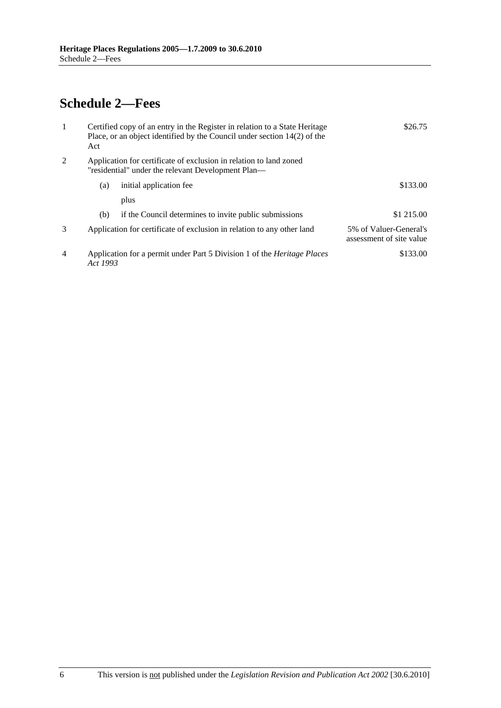# **Schedule 2—Fees**

| 1              | Act      | Certified copy of an entry in the Register in relation to a State Heritage<br>Place, or an object identified by the Council under section $14(2)$ of the | \$26.75                                            |
|----------------|----------|----------------------------------------------------------------------------------------------------------------------------------------------------------|----------------------------------------------------|
| 2              |          | Application for certificate of exclusion in relation to land zoned<br>"residential" under the relevant Development Plan—                                 |                                                    |
|                | (a)      | initial application fee                                                                                                                                  | \$133.00                                           |
|                |          | plus                                                                                                                                                     |                                                    |
|                | (b)      | if the Council determines to invite public submissions                                                                                                   | \$1 215.00                                         |
| $\mathcal{F}$  |          | Application for certificate of exclusion in relation to any other land                                                                                   | 5% of Valuer-General's<br>assessment of site value |
| $\overline{4}$ | Act 1993 | Application for a permit under Part 5 Division 1 of the <i>Heritage Places</i>                                                                           | \$133.00                                           |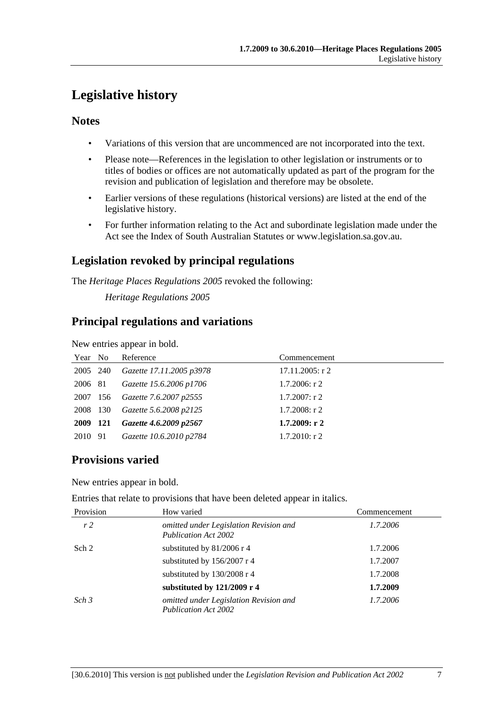# **Legislative history**

# **Notes**

- Variations of this version that are uncommenced are not incorporated into the text.
- Please note—References in the legislation to other legislation or instruments or to titles of bodies or offices are not automatically updated as part of the program for the revision and publication of legislation and therefore may be obsolete.
- Earlier versions of these regulations (historical versions) are listed at the end of the legislative history.
- For further information relating to the Act and subordinate legislation made under the Act see the Index of South Australian Statutes or www.legislation.sa.gov.au.

# **Legislation revoked by principal regulations**

The *Heritage Places Regulations 2005* revoked the following:

*Heritage Regulations 2005*

# **Principal regulations and variations**

New entries appear in bold.

| Year No  | Reference                       | Commencement       |
|----------|---------------------------------|--------------------|
| 2005 240 | Gazette 17.11.2005 p3978        | $17.11.2005$ : r 2 |
| 2006 81  | Gazette 15.6.2006 p1706         | $1.7.2006$ : r 2   |
|          | 2007 156 Gazette 7.6.2007 p2555 | $1.7.2007$ : r 2   |
| 2008 130 | Gazette 5.6.2008 p2125          | $1.7.2008$ : r 2   |
| 2009 121 | Gazette 4.6.2009 p2567          | 1.7.2009: r2       |
| 2010 91  | Gazette 10.6.2010 p2784         | $1.7.2010$ : r 2   |

# **Provisions varied**

New entries appear in bold.

Entries that relate to provisions that have been deleted appear in italics.

| Provision        | How varied                                                            | Commencement |
|------------------|-----------------------------------------------------------------------|--------------|
| r <sub>2</sub>   | omitted under Legislation Revision and<br>Publication Act 2002        | 1.7.2006     |
| Sch 2            | substituted by 81/2006 r 4                                            | 1.7.2006     |
|                  | substituted by 156/2007 r 4                                           | 1.7.2007     |
|                  | substituted by 130/2008 r 4                                           | 1.7.2008     |
|                  | substituted by 121/2009 r 4                                           | 1.7.2009     |
| Sch <sub>3</sub> | omitted under Legislation Revision and<br><b>Publication Act 2002</b> | 1.7.2006     |